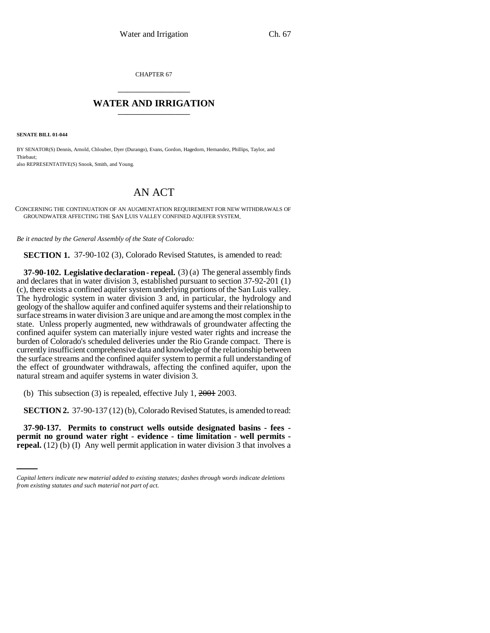CHAPTER 67 \_\_\_\_\_\_\_\_\_\_\_\_\_\_\_

## **WATER AND IRRIGATION** \_\_\_\_\_\_\_\_\_\_\_\_\_\_\_

**SENATE BILL 01-044**

BY SENATOR(S) Dennis, Arnold, Chlouber, Dyer (Durango), Evans, Gordon, Hagedorn, Hernandez, Phillips, Taylor, and Thiebaut; also REPRESENTATIVE(S) Snook, Smith, and Young.

## AN ACT

CONCERNING THE CONTINUATION OF AN AUGMENTATION REQUIREMENT FOR NEW WITHDRAWALS OF GROUNDWATER AFFECTING THE SAN LUIS VALLEY CONFINED AQUIFER SYSTEM.

*Be it enacted by the General Assembly of the State of Colorado:*

**SECTION 1.** 37-90-102 (3), Colorado Revised Statutes, is amended to read:

**37-90-102. Legislative declaration - repeal.** (3) (a) The general assembly finds and declares that in water division 3, established pursuant to section 37-92-201 (1) (c), there exists a confined aquifer system underlying portions of the San Luis valley. The hydrologic system in water division 3 and, in particular, the hydrology and geology of the shallow aquifer and confined aquifer systems and their relationship to surface streams in water division 3 are unique and are among the most complex in the state. Unless properly augmented, new withdrawals of groundwater affecting the confined aquifer system can materially injure vested water rights and increase the burden of Colorado's scheduled deliveries under the Rio Grande compact. There is currently insufficient comprehensive data and knowledge of the relationship between the surface streams and the confined aquifer system to permit a full understanding of the effect of groundwater withdrawals, affecting the confined aquifer, upon the natural stream and aquifer systems in water division 3.

(b) This subsection (3) is repealed, effective July 1,  $2001$  2003.

**SECTION 2.** 37-90-137 (12) (b), Colorado Revised Statutes, is amended to read:

 **37-90-137. Permits to construct wells outside designated basins - fees permit no ground water right - evidence - time limitation - well permits repeal.** (12) (b) (I) Any well permit application in water division 3 that involves a

*Capital letters indicate new material added to existing statutes; dashes through words indicate deletions from existing statutes and such material not part of act.*